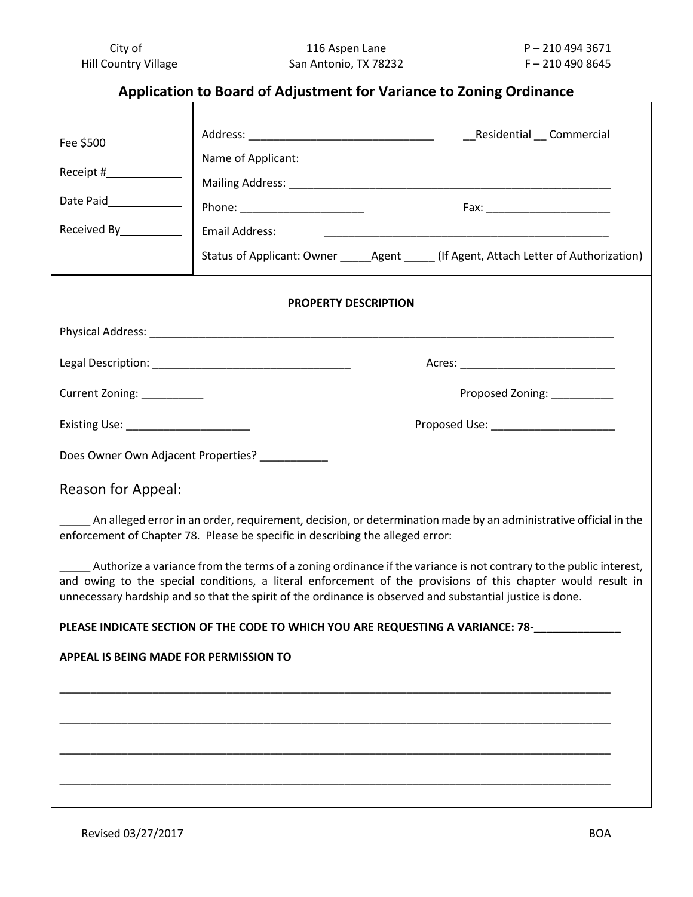# **Application to Board of Adjustment for Variance to Zoning Ordinance**

| Status of Applicant: Owner _______ Agent ______ (If Agent, Attach Letter of Authorization)                                                                                                                                                                                                                                                     |
|------------------------------------------------------------------------------------------------------------------------------------------------------------------------------------------------------------------------------------------------------------------------------------------------------------------------------------------------|
| <b>PROPERTY DESCRIPTION</b>                                                                                                                                                                                                                                                                                                                    |
|                                                                                                                                                                                                                                                                                                                                                |
|                                                                                                                                                                                                                                                                                                                                                |
| Current Zoning: _________<br>Proposed Zoning: _________                                                                                                                                                                                                                                                                                        |
| Existing Use: ______________________<br>Proposed Use: ______________________                                                                                                                                                                                                                                                                   |
| Does Owner Own Adjacent Properties? ___________                                                                                                                                                                                                                                                                                                |
|                                                                                                                                                                                                                                                                                                                                                |
| An alleged error in an order, requirement, decision, or determination made by an administrative official in the<br>enforcement of Chapter 78. Please be specific in describing the alleged error:                                                                                                                                              |
| Authorize a variance from the terms of a zoning ordinance if the variance is not contrary to the public interest,<br>and owing to the special conditions, a literal enforcement of the provisions of this chapter would result in<br>unnecessary hardship and so that the spirit of the ordinance is observed and substantial justice is done. |
| PLEASE INDICATE SECTION OF THE CODE TO WHICH YOU ARE REQUESTING A VARIANCE: 78-                                                                                                                                                                                                                                                                |
| <b>APPEAL IS BEING MADE FOR PERMISSION TO</b>                                                                                                                                                                                                                                                                                                  |
|                                                                                                                                                                                                                                                                                                                                                |
|                                                                                                                                                                                                                                                                                                                                                |
|                                                                                                                                                                                                                                                                                                                                                |
|                                                                                                                                                                                                                                                                                                                                                |
|                                                                                                                                                                                                                                                                                                                                                |
|                                                                                                                                                                                                                                                                                                                                                |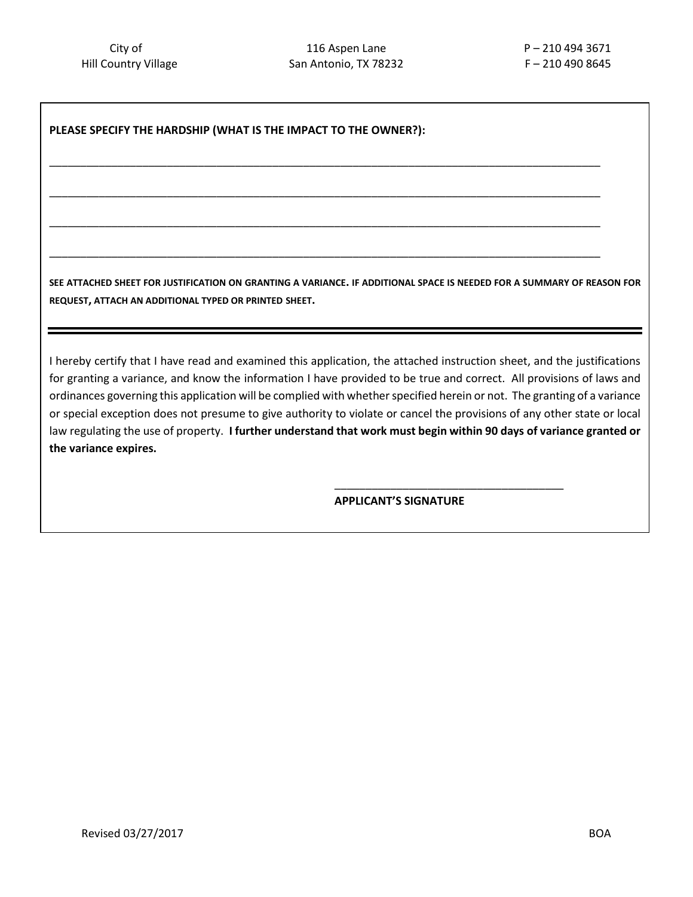\_\_\_\_\_\_\_\_\_\_\_\_\_\_\_\_\_\_\_\_\_\_\_\_\_\_\_\_\_\_\_\_\_\_\_\_\_\_\_\_\_\_\_\_\_\_\_\_\_\_\_\_\_\_\_\_\_\_\_\_\_\_\_\_\_\_\_\_\_\_\_\_\_\_\_\_\_\_\_\_\_\_\_\_\_\_\_\_\_

\_\_\_\_\_\_\_\_\_\_\_\_\_\_\_\_\_\_\_\_\_\_\_\_\_\_\_\_\_\_\_\_\_\_\_\_\_\_\_\_\_\_\_\_\_\_\_\_\_\_\_\_\_\_\_\_\_\_\_\_\_\_\_\_\_\_\_\_\_\_\_\_\_\_\_\_\_\_\_\_\_\_\_\_\_\_\_\_\_

\_\_\_\_\_\_\_\_\_\_\_\_\_\_\_\_\_\_\_\_\_\_\_\_\_\_\_\_\_\_\_\_\_\_\_\_\_\_\_\_\_\_\_\_\_\_\_\_\_\_\_\_\_\_\_\_\_\_\_\_\_\_\_\_\_\_\_\_\_\_\_\_\_\_\_\_\_\_\_\_\_\_\_\_\_\_\_\_\_

\_\_\_\_\_\_\_\_\_\_\_\_\_\_\_\_\_\_\_\_\_\_\_\_\_\_\_\_\_\_\_\_\_\_\_\_\_\_\_\_\_\_\_\_\_\_\_\_\_\_\_\_\_\_\_\_\_\_\_\_\_\_\_\_\_\_\_\_\_\_\_\_\_\_\_\_\_\_\_\_\_\_\_\_\_\_\_\_\_

## **PLEASE SPECIFY THE HARDSHIP (WHAT IS THE IMPACT TO THE OWNER?):**

**SEE ATTACHED SHEET FOR JUSTIFICATION ON GRANTING A VARIANCE. IF ADDITIONAL SPACE IS NEEDED FOR A SUMMARY OF REASON FOR REQUEST, ATTACH AN ADDITIONAL TYPED OR PRINTED SHEET.**

I hereby certify that I have read and examined this application, the attached instruction sheet, and the justifications for granting a variance, and know the information I have provided to be true and correct. All provisions of laws and ordinances governing this application will be complied with whether specified herein or not. The granting of a variance or special exception does not presume to give authority to violate or cancel the provisions of any other state or local law regulating the use of property. **I further understand that work must begin within 90 days of variance granted or the variance expires.**

**APPLICANT'S SIGNATURE**

\_\_\_\_\_\_\_\_\_\_\_\_\_\_\_\_\_\_\_\_\_\_\_\_\_\_\_\_\_\_\_\_\_\_\_\_\_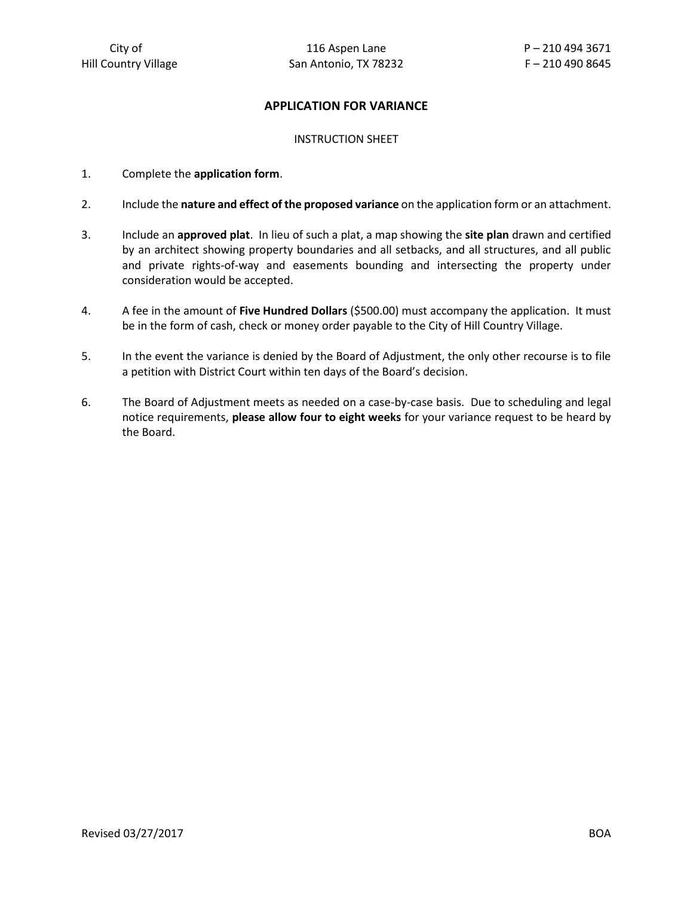# **APPLICATION FOR VARIANCE**

#### INSTRUCTION SHEET

- 1. Complete the **application form**.
- 2. Include the **nature and effect of the proposed variance** on the application form or an attachment.
- 3. Include an **approved plat**. In lieu of such a plat, a map showing the **site plan** drawn and certified by an architect showing property boundaries and all setbacks, and all structures, and all public and private rights-of-way and easements bounding and intersecting the property under consideration would be accepted.
- 4. A fee in the amount of **Five Hundred Dollars** (\$500.00) must accompany the application. It must be in the form of cash, check or money order payable to the City of Hill Country Village.
- 5. In the event the variance is denied by the Board of Adjustment, the only other recourse is to file a petition with District Court within ten days of the Board's decision.
- 6. The Board of Adjustment meets as needed on a case-by-case basis. Due to scheduling and legal notice requirements, **please allow four to eight weeks** for your variance request to be heard by the Board.